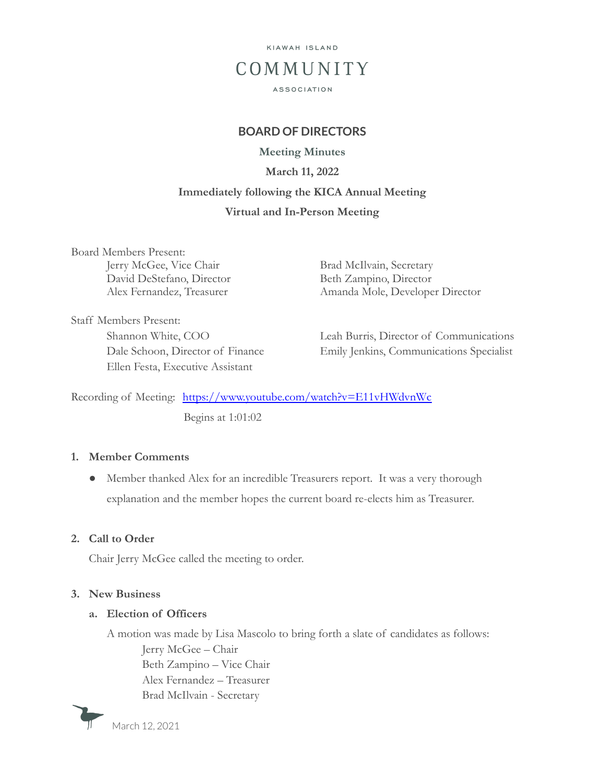

## **BOARD OF DIRECTORS**

**Meeting Minutes**

**March 11, 2022**

# **Immediately following the KICA Annual Meeting**

## **Virtual and In-Person Meeting**

Board Members Present: Jerry McGee, Vice Chair Brad McIlvain, Secretary David DeStefano, Director Beth Zampino, Director

Alex Fernandez, Treasurer Amanda Mole, Developer Director

Staff Members Present: Ellen Festa, Executive Assistant

Shannon White, COO Leah Burris, Director of Communications Dale Schoon, Director of Finance Emily Jenkins, Communications Specialist

Recording of Meeting: <https://www.youtube.com/watch?v=E11vHWdvnWc> Begins at 1:01:02

#### **1. Member Comments**

● Member thanked Alex for an incredible Treasurers report. It was a very thorough explanation and the member hopes the current board re-elects him as Treasurer.

# **2. Call to Order**

Chair Jerry McGee called the meeting to order.

#### **3. New Business**

#### **a. Election of Officers**

A motion was made by Lisa Mascolo to bring forth a slate of candidates as follows:

Jerry McGee – Chair Beth Zampino – Vice Chair Alex Fernandez – Treasurer Brad McIlvain - Secretary



March 12, 2021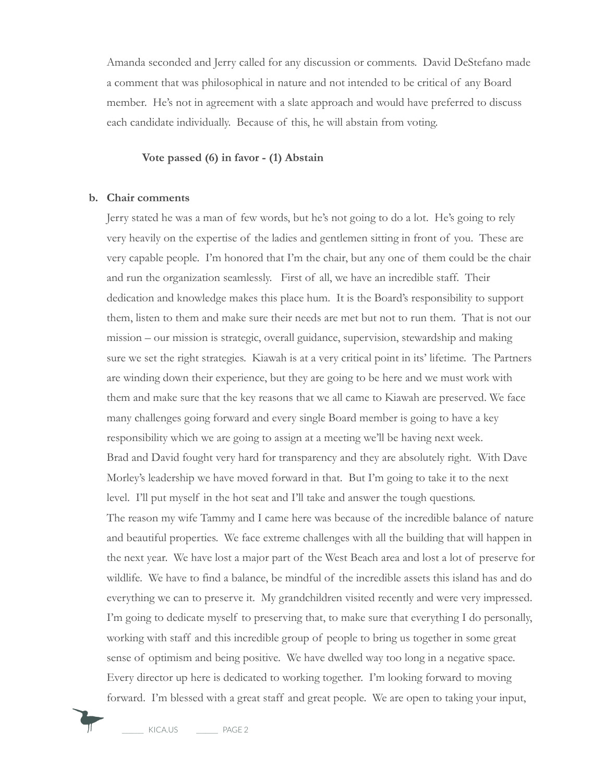Amanda seconded and Jerry called for any discussion or comments. David DeStefano made a comment that was philosophical in nature and not intended to be critical of any Board member. He's not in agreement with a slate approach and would have preferred to discuss each candidate individually. Because of this, he will abstain from voting.

## **Vote passed (6) in favor - (1) Abstain**

#### **b. Chair comments**

Jerry stated he was a man of few words, but he's not going to do a lot. He's going to rely very heavily on the expertise of the ladies and gentlemen sitting in front of you. These are very capable people. I'm honored that I'm the chair, but any one of them could be the chair and run the organization seamlessly. First of all, we have an incredible staff. Their dedication and knowledge makes this place hum. It is the Board's responsibility to support them, listen to them and make sure their needs are met but not to run them. That is not our mission – our mission is strategic, overall guidance, supervision, stewardship and making sure we set the right strategies. Kiawah is at a very critical point in its' lifetime. The Partners are winding down their experience, but they are going to be here and we must work with them and make sure that the key reasons that we all came to Kiawah are preserved. We face many challenges going forward and every single Board member is going to have a key responsibility which we are going to assign at a meeting we'll be having next week. Brad and David fought very hard for transparency and they are absolutely right. With Dave Morley's leadership we have moved forward in that. But I'm going to take it to the next level. I'll put myself in the hot seat and I'll take and answer the tough questions. The reason my wife Tammy and I came here was because of the incredible balance of nature and beautiful properties. We face extreme challenges with all the building that will happen in the next year. We have lost a major part of the West Beach area and lost a lot of preserve for wildlife. We have to find a balance, be mindful of the incredible assets this island has and do everything we can to preserve it. My grandchildren visited recently and were very impressed. I'm going to dedicate myself to preserving that, to make sure that everything I do personally, working with staff and this incredible group of people to bring us together in some great sense of optimism and being positive. We have dwelled way too long in a negative space. Every director up here is dedicated to working together. I'm looking forward to moving forward. I'm blessed with a great staff and great people. We are open to taking your input,



KICA.US PAGE 2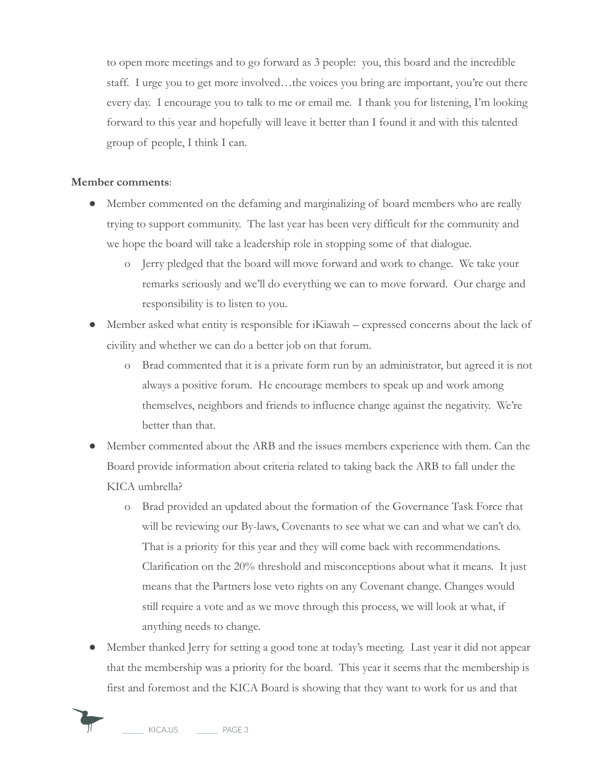to open more meetings and to go forward as 3 people: you, this board and the incredible staff. I urge you to get more involved…the voices you bring are important, you're out there every day. I encourage you to talk to me or email me. I thank you for listening, I'm looking forward to this year and hopefully will leave it better than I found it and with this talented group of people, I think I can.

#### **Member comments**:

- Member commented on the defaming and marginalizing of board members who are really trying to support community. The last year has been very difficult for the community and we hope the board will take a leadership role in stopping some of that dialogue.
	- o Jerry pledged that the board will move forward and work to change. We take your remarks seriously and we'll do everything we can to move forward. Our charge and responsibility is to listen to you.
- Member asked what entity is responsible for iKiawah expressed concerns about the lack of civility and whether we can do a better job on that forum.
	- o Brad commented that it is a private form run by an administrator, but agreed it is not always a positive forum. He encourage members to speak up and work among themselves, neighbors and friends to influence change against the negativity. We're better than that.
- Member commented about the ARB and the issues members experience with them. Can the Board provide information about criteria related to taking back the ARB to fall under the KICA umbrella?
	- o Brad provided an updated about the formation of the Governance Task Force that will be reviewing our By-laws, Covenants to see what we can and what we can't do. That is a priority for this year and they will come back with recommendations. Clarification on the 20% threshold and misconceptions about what it means. It just means that the Partners lose veto rights on any Covenant change. Changes would still require a vote and as we move through this process, we will look at what, if anything needs to change.
- Member thanked Jerry for setting a good tone at today's meeting. Last year it did not appear that the membership was a priority for the board. This year it seems that the membership is first and foremost and the KICA Board is showing that they want to work for us and that